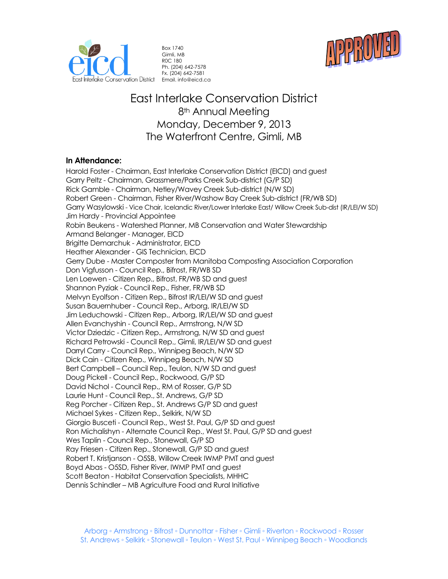



Box 1740 Gimli, MB R0C 1B0 Ph. (204) 642-7578 Fx. (204) 642-7581 Email. info@eicd.ca

# East Interlake Conservation District 8<sup>th</sup> Annual Meeting Monday, December 9, 2013 The Waterfront Centre, Gimli, MB

## **In Attendance:**

Harold Foster - Chairman, East Interlake Conservation District (EICD) and guest Garry Peltz - Chairman, Grassmere/Parks Creek Sub-district (G/P SD) Rick Gamble - Chairman, Netley/Wavey Creek Sub-district (N/W SD) Robert Green - Chairman, Fisher River/Washow Bay Creek Sub-district (FR/WB SD) Garry Wasylowski - Vice Chair, Icelandic River/Lower Interlake East/ Willow Creek Sub-dist (IR/LEI/W SD) Jim Hardy - Provincial Appointee Robin Beukens - Watershed Planner, MB Conservation and Water Stewardship Armand Belanger - Manager, EICD Brigitte Demarchuk - Administrator, EICD Heather Alexander - GIS Technician, EICD Gerry Dube - Master Composter from Manitoba Composting Association Corporation Don Vigfusson - Council Rep., Bifrost, FR/WB SD Len Loewen - Citizen Rep., Bifrost, FR/WB SD and guest Shannon Pyziak - Council Rep., Fisher, FR/WB SD Melvyn Eyolfson - Citizen Rep., Bifrost IR/LEI/W SD and guest Susan Bauernhuber - Council Rep., Arborg, IR/LEI/W SD Jim Leduchowski - Citizen Rep., Arborg, IR/LEI/W SD and guest Allen Evanchyshin - Council Rep., Armstrong, N/W SD Victor Dziedzic - Citizen Rep., Armstrong, N/W SD and guest Richard Petrowski - Council Rep., Gimli, IR/LEI/W SD and guest Darryl Carry - Council Rep., Winnipeg Beach, N/W SD Dick Cain - Citizen Rep., Winnipeg Beach, N/W SD Bert Campbell – Council Rep., Teulon, N/W SD and guest Doug Pickell - Council Rep., Rockwood, G/P SD David Nichol - Council Rep., RM of Rosser, G/P SD Laurie Hunt - Council Rep., St. Andrews, G/P SD Reg Porcher - Citizen Rep., St. Andrews G/P SD and guest Michael Sykes - Citizen Rep., Selkirk, N/W SD Giorgio Busceti - Council Rep., West St. Paul, G/P SD and guest Ron Michalishyn - Alternate Council Rep., West St. Paul, G/P SD and guest Wes Taplin - Council Rep., Stonewall, G/P SD Ray Friesen - Citizen Rep., Stonewall, G/P SD and guest Robert T. Kristjanson - O5SB, Willow Creek IWMP PMT and guest Boyd Abas - O5SD, Fisher River, IWMP PMT and guest Scott Beaton - Habitat Conservation Specialists, MHHC Dennis Schindler – MB Agriculture Food and Rural Initiative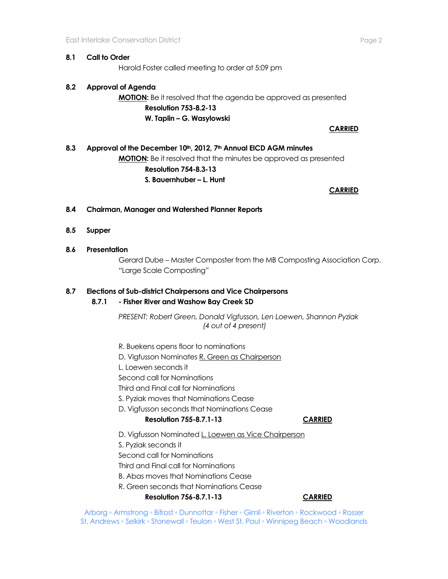### **8.1 Call to Order**

Harold Foster called meeting to order at 5:09 pm

## **8.2 Approval of Agenda**

## **MOTION:** Be it resolved that the agenda be approved as presented **Resolution 753-8.2-13 W. Taplin – G. Wasylowski**

**CARRIED**

## **8.3 Approval of the December 10th, 2012, 7th Annual EICD AGM minutes MOTION:** Be it resolved that the minutes be approved as presented **Resolution 754-8.3-13 S. Bauernhuber – L. Hunt**

**CARRIED** 

## **8.4 Chairman, Manager and Watershed Planner Reports**

- **8.5 Supper**
- **8.6 Presentation**

Gerard Dube – Master Composter from the MB Composting Association Corp. "Large Scale Composting"

## **8.7 Elections of Sub-district Chairpersons and Vice Chairpersons**

### **8.7.1 - Fisher River and Washow Bay Creek SD**

*PRESENT: Robert Green, Donald Vigfusson, Len Loewen, Shannon Pyziak (4 out of 4 present)*

R. Buekens opens floor to nominations

- D. Vigfusson Nominates R. Green as Chairperson
- L. Loewen seconds it

Second call for Nominations

Third and Final call for Nominations

S. Pyziak moves that Nominations Cease

D. Vigfusson seconds that Nominations Cease

## **Resolution 755-8.7.1-13 CARRIED**

- D. Vigfusson Nominated L. Loewen as Vice Chairperson
- S. Pyziak seconds it
- Second call for Nominations

Third and Final call for Nominations

- B. Abas moves that Nominations Cease
- R. Green seconds that Nominations Cease

**Resolution 756-8.7.1-13 CARRIED**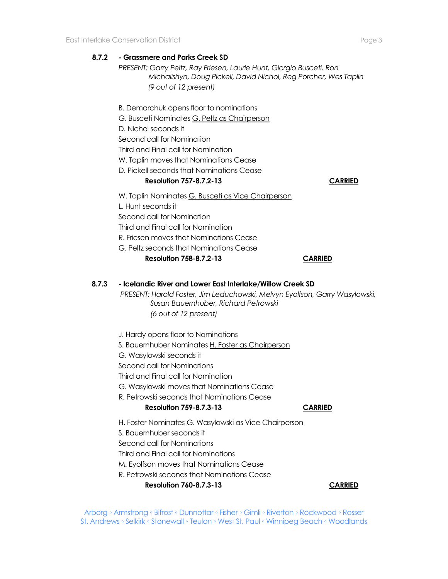## **8.7.2 - Grassmere and Parks Creek SD**

*PRESENT: Garry Peltz, Ray Friesen, Laurie Hunt, Giorgio Busceti, Ron Michalishyn, Doug Pickell, David Nichol, Reg Porcher, Wes Taplin (9 out of 12 present)*

B. Demarchuk opens floor to nominations G. Busceti Nominates G. Peltz as Chairperson D. Nichol seconds it Second call for Nomination Third and Final call for Nomination W. Taplin moves that Nominations Cease D. Pickell seconds that Nominations Cease **Resolution 757-8.7.2-13 CARRIED** W. Taplin Nominates G. Busceti as Vice Chairperson L. Hunt seconds it Second call for Nomination Third and Final call for Nomination R. Friesen moves that Nominations Cease G. Peltz seconds that Nominations Cease **Resolution 758-8.7.2-13 CARRIED**

#### **8.7.3 - Icelandic River and Lower East Interlake/Willow Creek SD**

*PRESENT: Harold Foster, Jim Leduchowski, Melvyn Eyolfson, Garry Wasylowski, Susan Bauernhuber, Richard Petrowski (6 out of 12 present)*

J. Hardy opens floor to Nominations

S. Bauernhuber Nominates H. Foster as Chairperson

- G. Wasylowski seconds it
- Second call for Nominations

Third and Final call for Nomination

G. Wasylowski moves that Nominations Cease

#### R. Petrowski seconds that Nominations Cease

#### **Resolution 759-8.7.3-13 CARRIED**

H. Foster Nominates G. Wasylowski as Vice Chairperson

S. Bauernhuber seconds it

Second call for Nominations

Third and Final call for Nominations

M. Eyolfson moves that Nominations Cease

R. Petrowski seconds that Nominations Cease

**Resolution 760-8.7.3-13 CARRIED**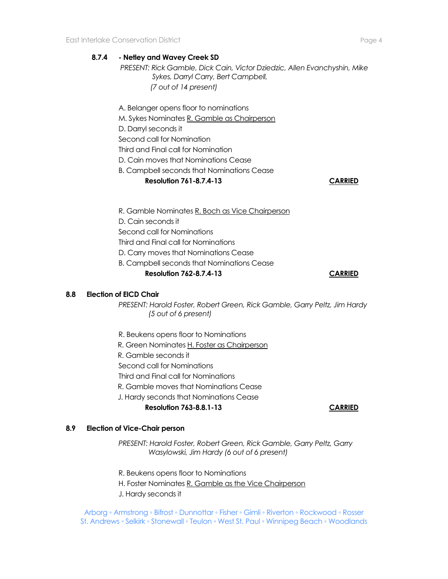## **8.7.4 - Netley and Wavey Creek SD**

*PRESENT: Rick Gamble, Dick Cain, Victor Dziedzic, Allen Evanchyshin, Mike Sykes, Darryl Carry, Bert Campbell, (7 out of 14 present)*

A. Belanger opens floor to nominations

M. Sykes Nominates R. Gamble as Chairperson

D. Darryl seconds it

Second call for Nomination

Third and Final call for Nomination

D. Cain moves that Nominations Cease

## B. Campbell seconds that Nominations Cease

**Resolution 761-8.7.4-13 CARRIED**

R. Gamble Nominates R. Boch as Vice Chairperson

D. Cain seconds it

Second call for Nominations

Third and Final call for Nominations

D. Carry moves that Nominations Cease

B. Campbell seconds that Nominations Cease

**Resolution 762-8.7.4-13 CARRIED**

### **8.8 Election of EICD Chair**

*PRESENT: Harold Foster, Robert Green, Rick Gamble, Garry Peltz, Jim Hardy (5 out of 6 present)*

- R. Beukens opens floor to Nominations
- R. Green Nominates H. Foster as Chairperson
- R. Gamble seconds it
- Second call for Nominations
- Third and Final call for Nominations
- R. Gamble moves that Nominations Cease
- J. Hardy seconds that Nominations Cease

## **Resolution 763-8.8.1-13 CARRIED**

## **8.9 Election of Vice-Chair person**

*PRESENT: Harold Foster, Robert Green, Rick Gamble, Garry Peltz, Garry Wasylowski, Jim Hardy (6 out of 6 present)*

- R. Beukens opens floor to Nominations
- H. Foster Nominates R. Gamble as the Vice Chairperson
- J. Hardy seconds it